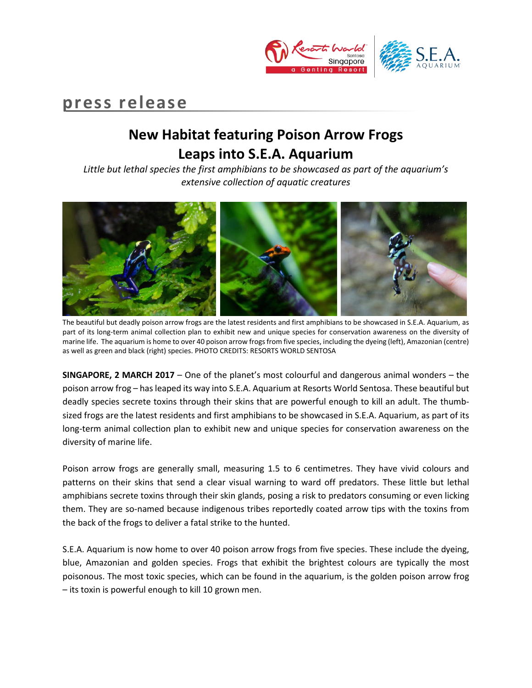

# **press release**

# **New Habitat featuring Poison Arrow Frogs Leaps into S.E.A. Aquarium**

*Little but lethal species the first amphibians to be showcased as part of the aquarium's extensive collection of aquatic creatures*



The beautiful but deadly poison arrow frogs are the latest residents and first amphibians to be showcased in S.E.A. Aquarium, as part of its long-term animal collection plan to exhibit new and unique species for conservation awareness on the diversity of marine life. The aquarium is home to over 40 poison arrow frogs from five species, including the dyeing (left), Amazonian (centre) as well as green and black (right) species. PHOTO CREDITS: RESORTS WORLD SENTOSA

**SINGAPORE, 2 MARCH 2017** – One of the planet's most colourful and dangerous animal wonders – the poison arrow frog – has leaped its way into S.E.A. Aquarium at Resorts World Sentosa. These beautiful but deadly species secrete toxins through their skins that are powerful enough to kill an adult. The thumbsized frogs are the latest residents and first amphibians to be showcased in S.E.A. Aquarium, as part of its long-term animal collection plan to exhibit new and unique species for conservation awareness on the diversity of marine life.

Poison arrow frogs are generally small, measuring 1.5 to 6 centimetres. They have vivid colours and patterns on their skins that send a clear visual warning to ward off predators. These little but lethal amphibians secrete toxins through their skin glands, posing a risk to predators consuming or even licking them. They are so-named because indigenous tribes reportedly coated arrow tips with the toxins from the back of the frogs to deliver a fatal strike to the hunted.

S.E.A. Aquarium is now home to over 40 poison arrow frogs from five species. These include the dyeing, blue, Amazonian and golden species. Frogs that exhibit the brightest colours are typically the most poisonous. The most toxic species, which can be found in the aquarium, is the golden poison arrow frog – its toxin is powerful enough to kill 10 grown men.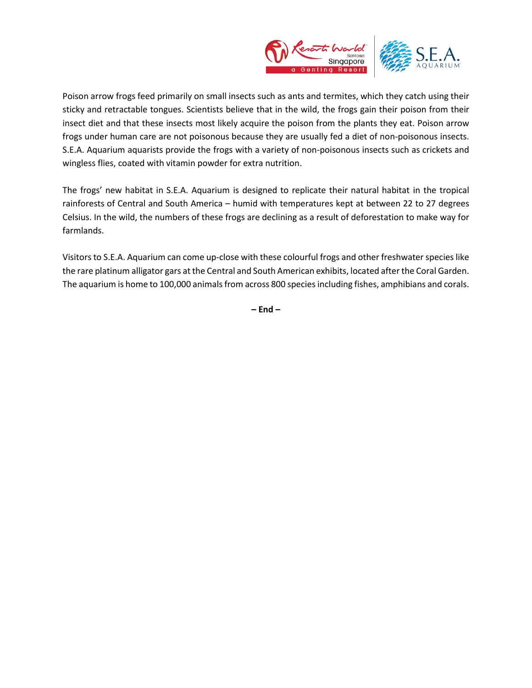

Poison arrow frogs feed primarily on small insects such as ants and termites, which they catch using their sticky and retractable tongues. Scientists believe that in the wild, the frogs gain their poison from their insect diet and that these insects most likely acquire the poison from the plants they eat. Poison arrow frogs under human care are not poisonous because they are usually fed a diet of non-poisonous insects. S.E.A. Aquarium aquarists provide the frogs with a variety of non-poisonous insects such as crickets and wingless flies, coated with vitamin powder for extra nutrition.

The frogs' new habitat in S.E.A. Aquarium is designed to replicate their natural habitat in the tropical rainforests of Central and South America – humid with temperatures kept at between 22 to 27 degrees Celsius. In the wild, the numbers of these frogs are declining as a result of deforestation to make way for farmlands.

Visitors to S.E.A. Aquarium can come up-close with these colourful frogs and other freshwater species like the rare platinum alligator gars at the Central and South American exhibits, located after the Coral Garden. The aquarium is home to 100,000 animals from across 800 speciesincluding fishes, amphibians and corals.

**– End –**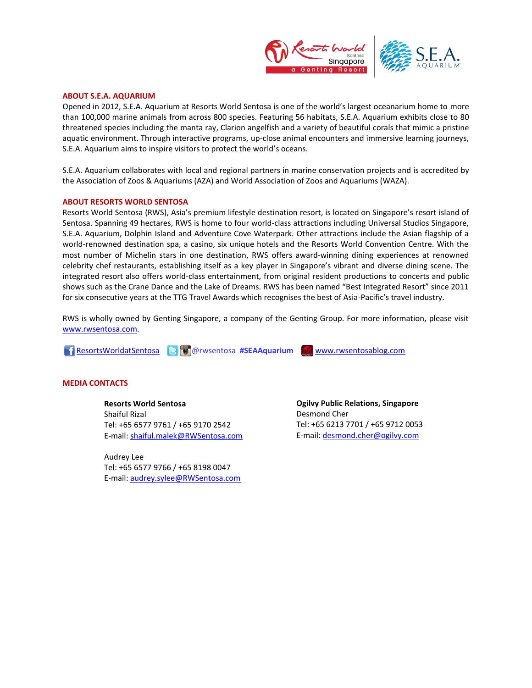

### **ABOUT S.E.A. AQUARIUM**

Opened in 2012, S.E.A. Aquarium at Resorts World Sentosa is one of the world's largest oceanarium home to more than 100,000 marine animals from across 800 species. Featuring 56 habitats, S.E.A. Aquarium exhibits close to 80 threatened species including the manta ray, Clarion angelfish and a variety of beautiful corals that mimic a pristine aquatic environment. Through interactive programs, up-close animal encounters and immersive learning journeys, S.E.A. Aquarium aims to inspire visitors to protect the world's oceans.

S.E.A. Aquarium collaborates with local and regional partners in marine conservation projects and is accredited by the Association of Zoos & Aquariums (AZA) and World Association of Zoos and Aquariums (WAZA).

#### **ABOUT RESORTS WORLD SENTOSA**

Resorts World Sentosa (RWS), Asia's premium lifestyle destination resort, is located on Singapore's resort island of Sentosa. Spanning 49 hectares, RWS is home to four world-class attractions including Universal Studios Singapore, S.E.A. Aquarium, Dolphin Island and Adventure Cove Waterpark. Other attractions include the Asian flagship of a world-renowned destination spa, a casino, six unique hotels and the Resorts World Convention Centre. With the most number of Michelin stars in one destination, RWS offers award-winning dining experiences at renowned celebrity chef restaurants, establishing itself as a key player in Singapore's vibrant and diverse dining scene. The integrated resort also offers world-class entertainment, from original resident productions to concerts and public shows such as the Crane Dance and the Lake of Dreams. RWS has been named "Best Integrated Resort" since 2011 for six consecutive years at the TTG Travel Awards which recognises the best of Asia-Pacific's travel industry.

RWS is wholly owned by Genting Singapore, a company of the Genting Group. For more information, please visit [www.rwsentosa.com.](http://www.rwsentosa.com/)

**ResortsWorldatSentosa @rwsentosa #SEAAquarium WWW.rwsentosablog.com** 

## **MEDIA CONTACTS**

# **Resorts World Sentosa**

Shaiful Rizal Tel: +65 6577 9761 / +65 9170 2542 E-mail: [shaiful.malek@RWSentosa.com](mailto:shaiful.malek@RWSentosa.com)

Audrey Lee Tel: +65 6577 9766 / +65 8198 0047 E-mail: [audrey.sylee@RWSentosa.com](mailto:audrey.sylee@RWSentosa.com) **Ogilvy Public Relations, Singapore** Desmond Cher Tel: +65 6213 7701 / +65 9712 0053 E-mail[: desmond.cher@ogilvy.com](mailto:desmond.cher@ogilvy.com)